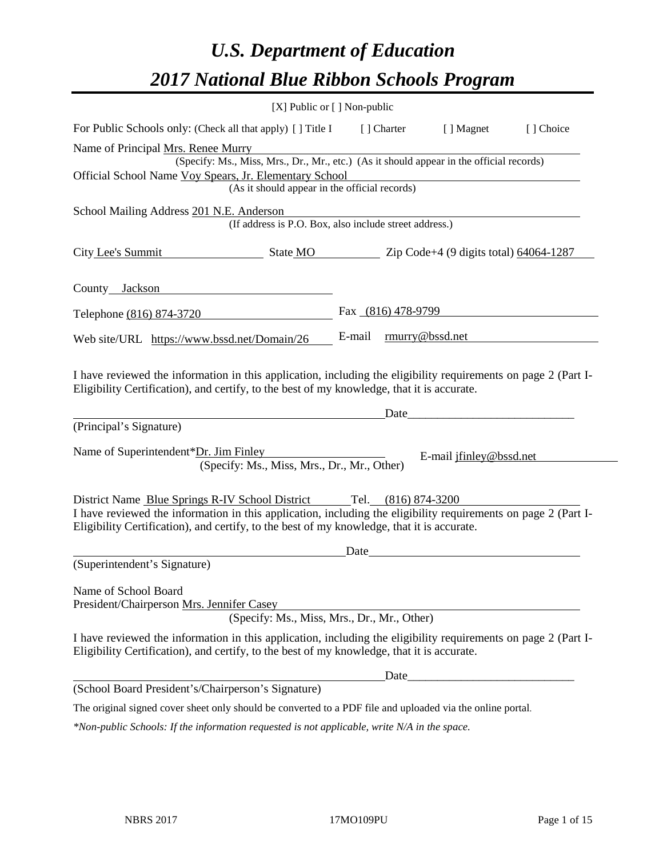# *U.S. Department of Education 2017 National Blue Ribbon Schools Program*

|                                                                                                                                                                                                                                                                                     | [X] Public or [] Non-public                            |        |                    |                         |  |
|-------------------------------------------------------------------------------------------------------------------------------------------------------------------------------------------------------------------------------------------------------------------------------------|--------------------------------------------------------|--------|--------------------|-------------------------|--|
| For Public Schools only: (Check all that apply) [] Title I<br>[] Choice<br>[ ] Charter<br>[ ] Magnet                                                                                                                                                                                |                                                        |        |                    |                         |  |
| Name of Principal Mrs. Renee Murry                                                                                                                                                                                                                                                  |                                                        |        |                    |                         |  |
| (Specify: Ms., Miss, Mrs., Dr., Mr., etc.) (As it should appear in the official records)                                                                                                                                                                                            |                                                        |        |                    |                         |  |
| Official School Name Voy Spears, Jr. Elementary School<br>(As it should appear in the official records)                                                                                                                                                                             |                                                        |        |                    |                         |  |
|                                                                                                                                                                                                                                                                                     |                                                        |        |                    |                         |  |
| School Mailing Address 201 N.E. Anderson                                                                                                                                                                                                                                            | (If address is P.O. Box, also include street address.) |        |                    |                         |  |
| City Lee's Summit                                                                                                                                                                                                                                                                   | State MO Zip Code+4 (9 digits total) 64064-1287        |        |                    |                         |  |
| County Jackson                                                                                                                                                                                                                                                                      |                                                        |        |                    |                         |  |
| Telephone (816) 874-3720                                                                                                                                                                                                                                                            |                                                        |        | Fax (816) 478-9799 |                         |  |
| Web site/URL https://www.bssd.net/Domain/26                                                                                                                                                                                                                                         |                                                        | E-mail |                    | rmurry@bssd.net         |  |
| Eligibility Certification), and certify, to the best of my knowledge, that it is accurate.<br>(Principal's Signature)                                                                                                                                                               |                                                        |        | Date               |                         |  |
| Name of Superintendent*Dr. Jim Finley                                                                                                                                                                                                                                               | (Specify: Ms., Miss, Mrs., Dr., Mr., Other)            |        |                    | E-mail jfinley@bssd.net |  |
| District Name Blue Springs R-IV School District Tel. (816) 874-3200<br>I have reviewed the information in this application, including the eligibility requirements on page 2 (Part I-<br>Eligibility Certification), and certify, to the best of my knowledge, that it is accurate. |                                                        |        |                    |                         |  |
|                                                                                                                                                                                                                                                                                     |                                                        | Date   |                    |                         |  |
| (Superintendent's Signature)                                                                                                                                                                                                                                                        |                                                        |        |                    |                         |  |
| Name of School Board<br>President/Chairperson Mrs. Jennifer Casey                                                                                                                                                                                                                   | (Specify: Ms., Miss, Mrs., Dr., Mr., Other)            |        |                    |                         |  |
| I have reviewed the information in this application, including the eligibility requirements on page 2 (Part I-<br>Eligibility Certification), and certify, to the best of my knowledge, that it is accurate.                                                                        |                                                        |        |                    |                         |  |
|                                                                                                                                                                                                                                                                                     |                                                        |        |                    | Date                    |  |
| (School Board President's/Chairperson's Signature)                                                                                                                                                                                                                                  |                                                        |        |                    |                         |  |
| The original signed cover sheet only should be converted to a PDF file and uploaded via the online portal.                                                                                                                                                                          |                                                        |        |                    |                         |  |
|                                                                                                                                                                                                                                                                                     |                                                        |        |                    |                         |  |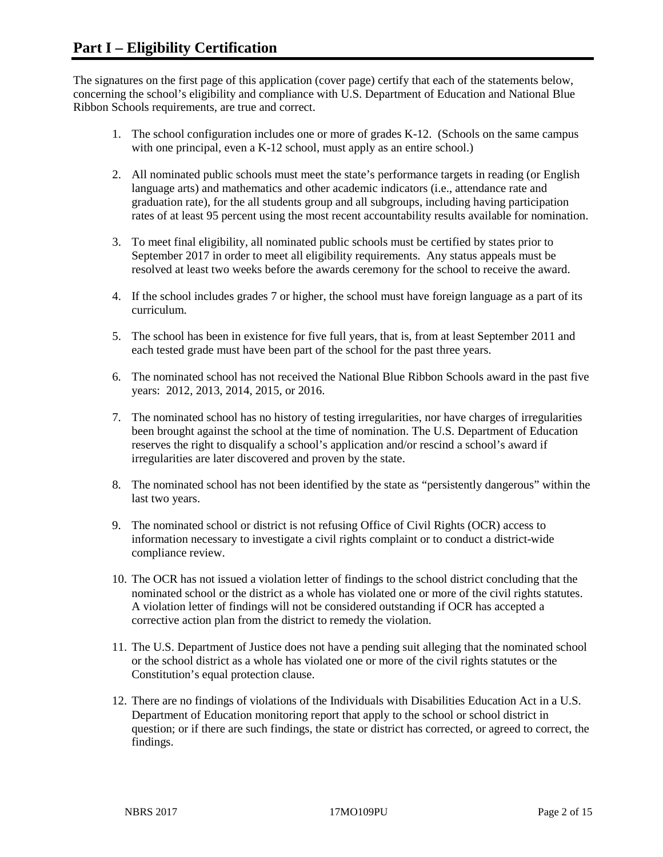The signatures on the first page of this application (cover page) certify that each of the statements below, concerning the school's eligibility and compliance with U.S. Department of Education and National Blue Ribbon Schools requirements, are true and correct.

- 1. The school configuration includes one or more of grades K-12. (Schools on the same campus with one principal, even a K-12 school, must apply as an entire school.)
- 2. All nominated public schools must meet the state's performance targets in reading (or English language arts) and mathematics and other academic indicators (i.e., attendance rate and graduation rate), for the all students group and all subgroups, including having participation rates of at least 95 percent using the most recent accountability results available for nomination.
- 3. To meet final eligibility, all nominated public schools must be certified by states prior to September 2017 in order to meet all eligibility requirements. Any status appeals must be resolved at least two weeks before the awards ceremony for the school to receive the award.
- 4. If the school includes grades 7 or higher, the school must have foreign language as a part of its curriculum.
- 5. The school has been in existence for five full years, that is, from at least September 2011 and each tested grade must have been part of the school for the past three years.
- 6. The nominated school has not received the National Blue Ribbon Schools award in the past five years: 2012, 2013, 2014, 2015, or 2016.
- 7. The nominated school has no history of testing irregularities, nor have charges of irregularities been brought against the school at the time of nomination. The U.S. Department of Education reserves the right to disqualify a school's application and/or rescind a school's award if irregularities are later discovered and proven by the state.
- 8. The nominated school has not been identified by the state as "persistently dangerous" within the last two years.
- 9. The nominated school or district is not refusing Office of Civil Rights (OCR) access to information necessary to investigate a civil rights complaint or to conduct a district-wide compliance review.
- 10. The OCR has not issued a violation letter of findings to the school district concluding that the nominated school or the district as a whole has violated one or more of the civil rights statutes. A violation letter of findings will not be considered outstanding if OCR has accepted a corrective action plan from the district to remedy the violation.
- 11. The U.S. Department of Justice does not have a pending suit alleging that the nominated school or the school district as a whole has violated one or more of the civil rights statutes or the Constitution's equal protection clause.
- 12. There are no findings of violations of the Individuals with Disabilities Education Act in a U.S. Department of Education monitoring report that apply to the school or school district in question; or if there are such findings, the state or district has corrected, or agreed to correct, the findings.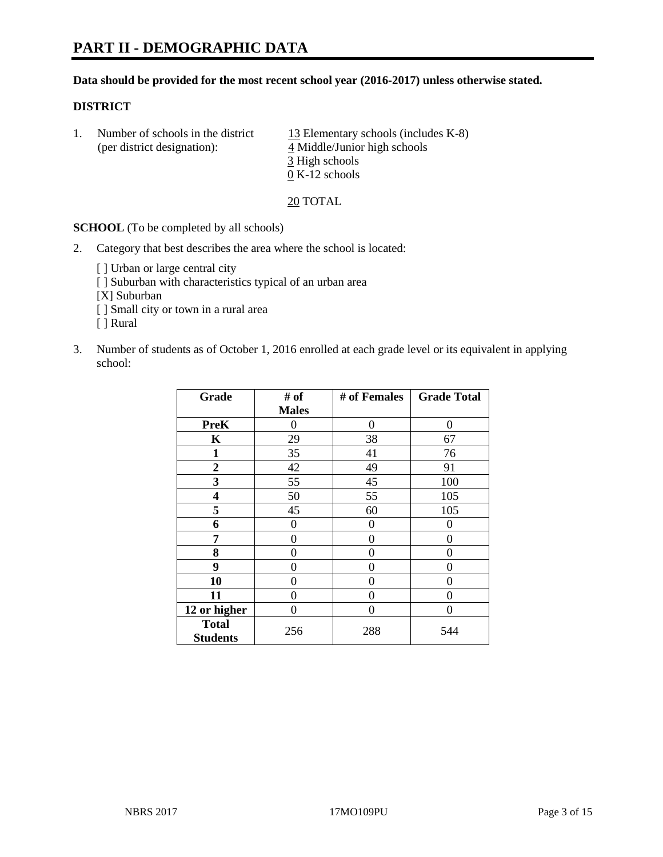#### **Data should be provided for the most recent school year (2016-2017) unless otherwise stated.**

#### **DISTRICT**

1. Number of schools in the district  $13$  Elementary schools (includes K-8) (per district designation): 4 Middle/Junior high schools 3 High schools 0 K-12 schools

20 TOTAL

**SCHOOL** (To be completed by all schools)

- 2. Category that best describes the area where the school is located:
	- [] Urban or large central city [ ] Suburban with characteristics typical of an urban area [X] Suburban [ ] Small city or town in a rural area [ ] Rural
- 3. Number of students as of October 1, 2016 enrolled at each grade level or its equivalent in applying school:

| Grade                           | # of         | # of Females | <b>Grade Total</b> |
|---------------------------------|--------------|--------------|--------------------|
|                                 | <b>Males</b> |              |                    |
| <b>PreK</b>                     | 0            | $\theta$     | 0                  |
| $\mathbf K$                     | 29           | 38           | 67                 |
| $\mathbf{1}$                    | 35           | 41           | 76                 |
| $\overline{2}$                  | 42           | 49           | 91                 |
| 3                               | 55           | 45           | 100                |
| 4                               | 50           | 55           | 105                |
| 5                               | 45           | 60           | 105                |
| 6                               | 0            | 0            | 0                  |
| 7                               | 0            | 0            | 0                  |
| 8                               | 0            | 0            | 0                  |
| 9                               | 0            | 0            | 0                  |
| 10                              | 0            | 0            | 0                  |
| 11                              | 0            | 0            | $\mathbf{\Omega}$  |
| 12 or higher                    | 0            | 0            | 0                  |
| <b>Total</b><br><b>Students</b> | 256          | 288          | 544                |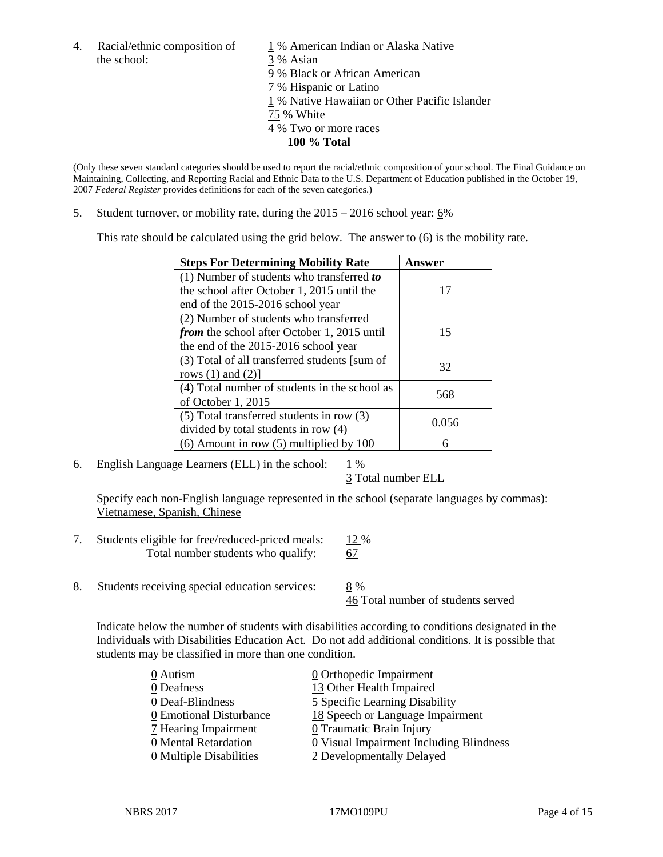4. Racial/ethnic composition of  $1\%$  American Indian or Alaska Native the school: 3 % Asian

 % Black or African American % Hispanic or Latino % Native Hawaiian or Other Pacific Islander 75 % White % Two or more races

**100 % Total**

(Only these seven standard categories should be used to report the racial/ethnic composition of your school. The Final Guidance on Maintaining, Collecting, and Reporting Racial and Ethnic Data to the U.S. Department of Education published in the October 19, 2007 *Federal Register* provides definitions for each of the seven categories.)

5. Student turnover, or mobility rate, during the 2015 – 2016 school year: 6%

This rate should be calculated using the grid below. The answer to (6) is the mobility rate.

| <b>Steps For Determining Mobility Rate</b>         | Answer |  |
|----------------------------------------------------|--------|--|
| (1) Number of students who transferred to          |        |  |
| the school after October 1, 2015 until the         | 17     |  |
| end of the 2015-2016 school year                   |        |  |
| (2) Number of students who transferred             |        |  |
| <i>from</i> the school after October 1, 2015 until | 15     |  |
| the end of the 2015-2016 school year               |        |  |
| (3) Total of all transferred students [sum of      | 32     |  |
| rows $(1)$ and $(2)$ ]                             |        |  |
| (4) Total number of students in the school as      | 568    |  |
| of October 1, 2015                                 |        |  |
| (5) Total transferred students in row (3)          | 0.056  |  |
| divided by total students in row (4)               |        |  |
| $(6)$ Amount in row $(5)$ multiplied by 100        | 6      |  |

6. English Language Learners (ELL) in the school:  $1\%$ 

3 Total number ELL

Specify each non-English language represented in the school (separate languages by commas): Vietnamese, Spanish, Chinese

- 7. Students eligible for free/reduced-priced meals: 12 % Total number students who qualify: 67
- 8. Students receiving special education services: 8 %

46 Total number of students served

Indicate below the number of students with disabilities according to conditions designated in the Individuals with Disabilities Education Act. Do not add additional conditions. It is possible that students may be classified in more than one condition.

| 0 Autism                              | $\underline{0}$ Orthopedic Impairment   |
|---------------------------------------|-----------------------------------------|
| 0 Deafness                            | 13 Other Health Impaired                |
| 0 Deaf-Blindness                      | 5 Specific Learning Disability          |
| 0 Emotional Disturbance               | 18 Speech or Language Impairment        |
| 7 Hearing Impairment                  | 0 Traumatic Brain Injury                |
| 0 Mental Retardation                  | 0 Visual Impairment Including Blindness |
| $\underline{0}$ Multiple Disabilities | 2 Developmentally Delayed               |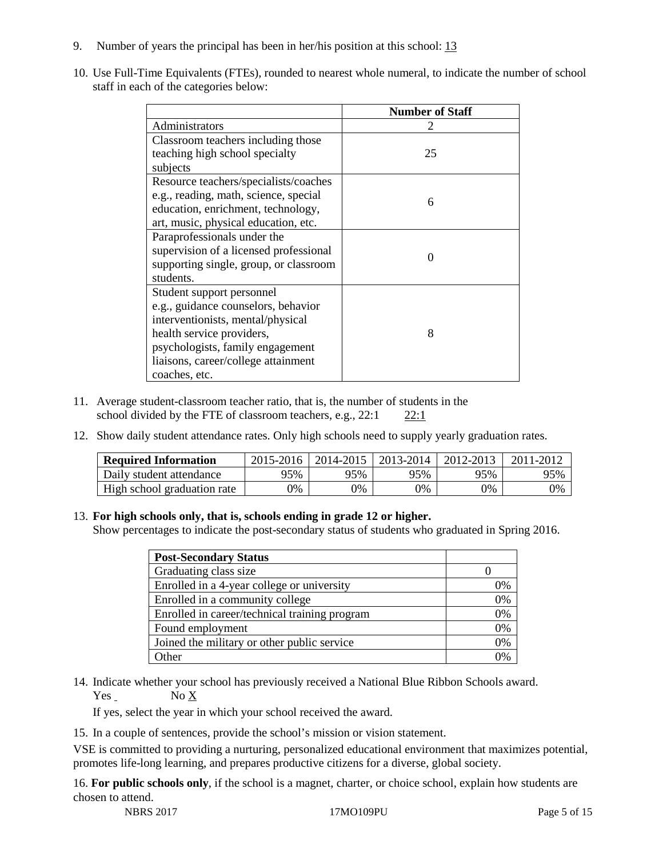- 9. Number of years the principal has been in her/his position at this school: 13
- 10. Use Full-Time Equivalents (FTEs), rounded to nearest whole numeral, to indicate the number of school staff in each of the categories below:

|                                        | <b>Number of Staff</b> |  |  |
|----------------------------------------|------------------------|--|--|
| Administrators                         |                        |  |  |
| Classroom teachers including those     |                        |  |  |
| teaching high school specialty         | 25                     |  |  |
| subjects                               |                        |  |  |
| Resource teachers/specialists/coaches  |                        |  |  |
| e.g., reading, math, science, special  | 6                      |  |  |
| education, enrichment, technology,     |                        |  |  |
| art, music, physical education, etc.   |                        |  |  |
| Paraprofessionals under the            |                        |  |  |
| supervision of a licensed professional | ∩                      |  |  |
| supporting single, group, or classroom |                        |  |  |
| students.                              |                        |  |  |
| Student support personnel              |                        |  |  |
| e.g., guidance counselors, behavior    |                        |  |  |
| interventionists, mental/physical      |                        |  |  |
| health service providers,              | 8                      |  |  |
| psychologists, family engagement       |                        |  |  |
| liaisons, career/college attainment    |                        |  |  |
| coaches, etc.                          |                        |  |  |

- 11. Average student-classroom teacher ratio, that is, the number of students in the school divided by the FTE of classroom teachers, e.g., 22:1 22:1
- 12. Show daily student attendance rates. Only high schools need to supply yearly graduation rates.

| <b>Required Information</b> | 2015-2016 | 2014-2015 | 2013-2014 | 2012-2013 |     |
|-----------------------------|-----------|-----------|-----------|-----------|-----|
| Daily student attendance    | 95%       | 95%       | 95%       | 95%       | 95% |
| High school graduation rate | 0%        | 0%        | 0%        | 9%        | 0%  |

#### 13. **For high schools only, that is, schools ending in grade 12 or higher.**

Show percentages to indicate the post-secondary status of students who graduated in Spring 2016.

| <b>Post-Secondary Status</b>                  |    |
|-----------------------------------------------|----|
| Graduating class size                         |    |
| Enrolled in a 4-year college or university    | 0% |
| Enrolled in a community college               | 0% |
| Enrolled in career/technical training program | 0% |
| Found employment                              | 0% |
| Joined the military or other public service   | 0% |
| )ther                                         | 0/ |

14. Indicate whether your school has previously received a National Blue Ribbon Schools award. Yes No X

If yes, select the year in which your school received the award.

15. In a couple of sentences, provide the school's mission or vision statement.

VSE is committed to providing a nurturing, personalized educational environment that maximizes potential, promotes life-long learning, and prepares productive citizens for a diverse, global society.

16. **For public schools only**, if the school is a magnet, charter, or choice school, explain how students are chosen to attend.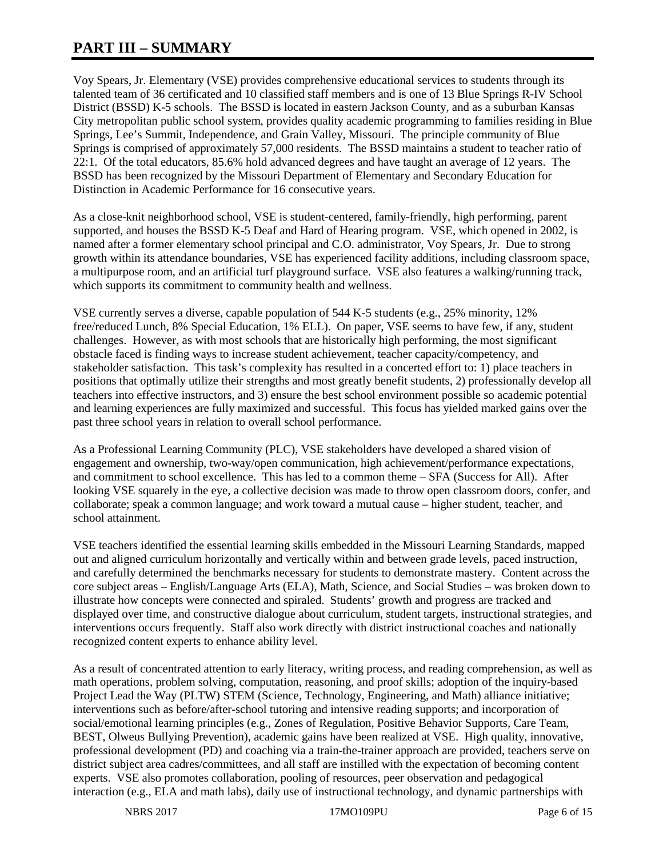# **PART III – SUMMARY**

Voy Spears, Jr. Elementary (VSE) provides comprehensive educational services to students through its talented team of 36 certificated and 10 classified staff members and is one of 13 Blue Springs R-IV School District (BSSD) K-5 schools. The BSSD is located in eastern Jackson County, and as a suburban Kansas City metropolitan public school system, provides quality academic programming to families residing in Blue Springs, Lee's Summit, Independence, and Grain Valley, Missouri. The principle community of Blue Springs is comprised of approximately 57,000 residents. The BSSD maintains a student to teacher ratio of 22:1. Of the total educators, 85.6% hold advanced degrees and have taught an average of 12 years. The BSSD has been recognized by the Missouri Department of Elementary and Secondary Education for Distinction in Academic Performance for 16 consecutive years.

As a close-knit neighborhood school, VSE is student-centered, family-friendly, high performing, parent supported, and houses the BSSD K-5 Deaf and Hard of Hearing program. VSE, which opened in 2002, is named after a former elementary school principal and C.O. administrator, Voy Spears, Jr. Due to strong growth within its attendance boundaries, VSE has experienced facility additions, including classroom space, a multipurpose room, and an artificial turf playground surface. VSE also features a walking/running track, which supports its commitment to community health and wellness.

VSE currently serves a diverse, capable population of 544 K-5 students (e.g., 25% minority, 12% free/reduced Lunch, 8% Special Education, 1% ELL). On paper, VSE seems to have few, if any, student challenges. However, as with most schools that are historically high performing, the most significant obstacle faced is finding ways to increase student achievement, teacher capacity/competency, and stakeholder satisfaction. This task's complexity has resulted in a concerted effort to: 1) place teachers in positions that optimally utilize their strengths and most greatly benefit students, 2) professionally develop all teachers into effective instructors, and 3) ensure the best school environment possible so academic potential and learning experiences are fully maximized and successful. This focus has yielded marked gains over the past three school years in relation to overall school performance.

As a Professional Learning Community (PLC), VSE stakeholders have developed a shared vision of engagement and ownership, two-way/open communication, high achievement/performance expectations, and commitment to school excellence. This has led to a common theme – SFA (Success for All). After looking VSE squarely in the eye, a collective decision was made to throw open classroom doors, confer, and collaborate; speak a common language; and work toward a mutual cause – higher student, teacher, and school attainment.

VSE teachers identified the essential learning skills embedded in the Missouri Learning Standards, mapped out and aligned curriculum horizontally and vertically within and between grade levels, paced instruction, and carefully determined the benchmarks necessary for students to demonstrate mastery. Content across the core subject areas – English/Language Arts (ELA), Math, Science, and Social Studies – was broken down to illustrate how concepts were connected and spiraled. Students' growth and progress are tracked and displayed over time, and constructive dialogue about curriculum, student targets, instructional strategies, and interventions occurs frequently. Staff also work directly with district instructional coaches and nationally recognized content experts to enhance ability level.

As a result of concentrated attention to early literacy, writing process, and reading comprehension, as well as math operations, problem solving, computation, reasoning, and proof skills; adoption of the inquiry-based Project Lead the Way (PLTW) STEM (Science, Technology, Engineering, and Math) alliance initiative; interventions such as before/after-school tutoring and intensive reading supports; and incorporation of social/emotional learning principles (e.g., Zones of Regulation, Positive Behavior Supports, Care Team, BEST, Olweus Bullying Prevention), academic gains have been realized at VSE. High quality, innovative, professional development (PD) and coaching via a train-the-trainer approach are provided, teachers serve on district subject area cadres/committees, and all staff are instilled with the expectation of becoming content experts. VSE also promotes collaboration, pooling of resources, peer observation and pedagogical interaction (e.g., ELA and math labs), daily use of instructional technology, and dynamic partnerships with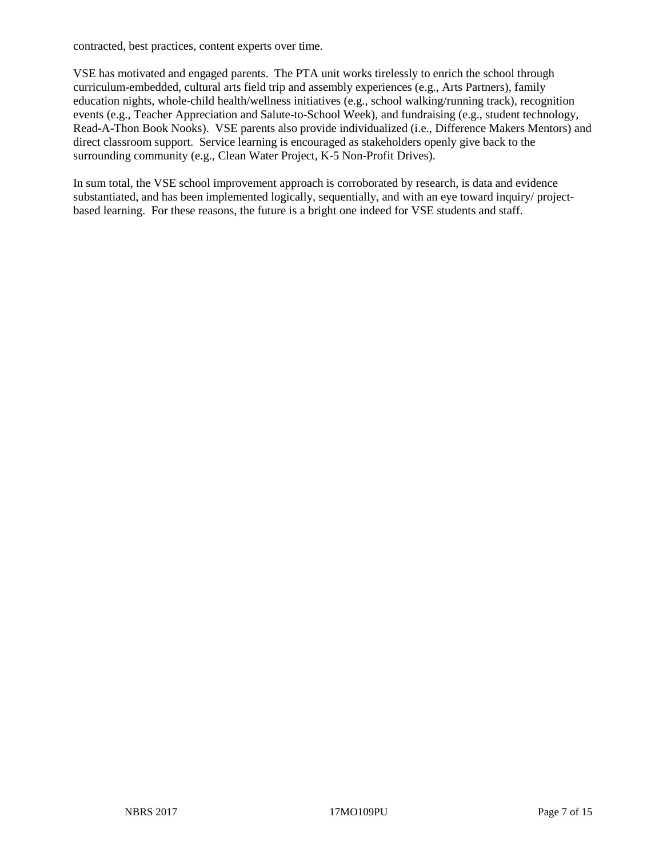contracted, best practices, content experts over time.

VSE has motivated and engaged parents. The PTA unit works tirelessly to enrich the school through curriculum-embedded, cultural arts field trip and assembly experiences (e.g., Arts Partners), family education nights, whole-child health/wellness initiatives (e.g., school walking/running track), recognition events (e.g., Teacher Appreciation and Salute-to-School Week), and fundraising (e.g., student technology, Read-A-Thon Book Nooks). VSE parents also provide individualized (i.e., Difference Makers Mentors) and direct classroom support. Service learning is encouraged as stakeholders openly give back to the surrounding community (e.g., Clean Water Project, K-5 Non-Profit Drives).

In sum total, the VSE school improvement approach is corroborated by research, is data and evidence substantiated, and has been implemented logically, sequentially, and with an eye toward inquiry/ projectbased learning. For these reasons, the future is a bright one indeed for VSE students and staff.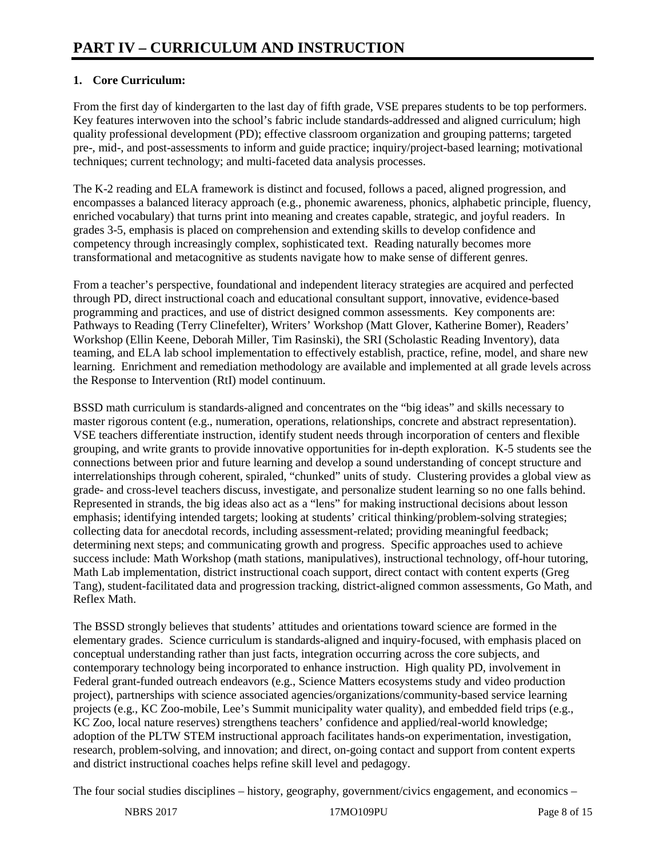# **1. Core Curriculum:**

From the first day of kindergarten to the last day of fifth grade, VSE prepares students to be top performers. Key features interwoven into the school's fabric include standards-addressed and aligned curriculum; high quality professional development (PD); effective classroom organization and grouping patterns; targeted pre-, mid-, and post-assessments to inform and guide practice; inquiry/project-based learning; motivational techniques; current technology; and multi-faceted data analysis processes.

The K-2 reading and ELA framework is distinct and focused, follows a paced, aligned progression, and encompasses a balanced literacy approach (e.g., phonemic awareness, phonics, alphabetic principle, fluency, enriched vocabulary) that turns print into meaning and creates capable, strategic, and joyful readers. In grades 3-5, emphasis is placed on comprehension and extending skills to develop confidence and competency through increasingly complex, sophisticated text. Reading naturally becomes more transformational and metacognitive as students navigate how to make sense of different genres.

From a teacher's perspective, foundational and independent literacy strategies are acquired and perfected through PD, direct instructional coach and educational consultant support, innovative, evidence-based programming and practices, and use of district designed common assessments. Key components are: Pathways to Reading (Terry Clinefelter), Writers' Workshop (Matt Glover, Katherine Bomer), Readers' Workshop (Ellin Keene, Deborah Miller, Tim Rasinski), the SRI (Scholastic Reading Inventory), data teaming, and ELA lab school implementation to effectively establish, practice, refine, model, and share new learning. Enrichment and remediation methodology are available and implemented at all grade levels across the Response to Intervention (RtI) model continuum.

BSSD math curriculum is standards-aligned and concentrates on the "big ideas" and skills necessary to master rigorous content (e.g., numeration, operations, relationships, concrete and abstract representation). VSE teachers differentiate instruction, identify student needs through incorporation of centers and flexible grouping, and write grants to provide innovative opportunities for in-depth exploration. K-5 students see the connections between prior and future learning and develop a sound understanding of concept structure and interrelationships through coherent, spiraled, "chunked" units of study. Clustering provides a global view as grade- and cross-level teachers discuss, investigate, and personalize student learning so no one falls behind. Represented in strands, the big ideas also act as a "lens" for making instructional decisions about lesson emphasis; identifying intended targets; looking at students' critical thinking/problem-solving strategies; collecting data for anecdotal records, including assessment-related; providing meaningful feedback; determining next steps; and communicating growth and progress. Specific approaches used to achieve success include: Math Workshop (math stations, manipulatives), instructional technology, off-hour tutoring, Math Lab implementation, district instructional coach support, direct contact with content experts (Greg Tang), student-facilitated data and progression tracking, district-aligned common assessments, Go Math, and Reflex Math.

The BSSD strongly believes that students' attitudes and orientations toward science are formed in the elementary grades. Science curriculum is standards-aligned and inquiry-focused, with emphasis placed on conceptual understanding rather than just facts, integration occurring across the core subjects, and contemporary technology being incorporated to enhance instruction. High quality PD, involvement in Federal grant-funded outreach endeavors (e.g., Science Matters ecosystems study and video production project), partnerships with science associated agencies/organizations/community-based service learning projects (e.g., KC Zoo-mobile, Lee's Summit municipality water quality), and embedded field trips (e.g., KC Zoo, local nature reserves) strengthens teachers' confidence and applied/real-world knowledge; adoption of the PLTW STEM instructional approach facilitates hands-on experimentation, investigation, research, problem-solving, and innovation; and direct, on-going contact and support from content experts and district instructional coaches helps refine skill level and pedagogy.

The four social studies disciplines – history, geography, government/civics engagement, and economics –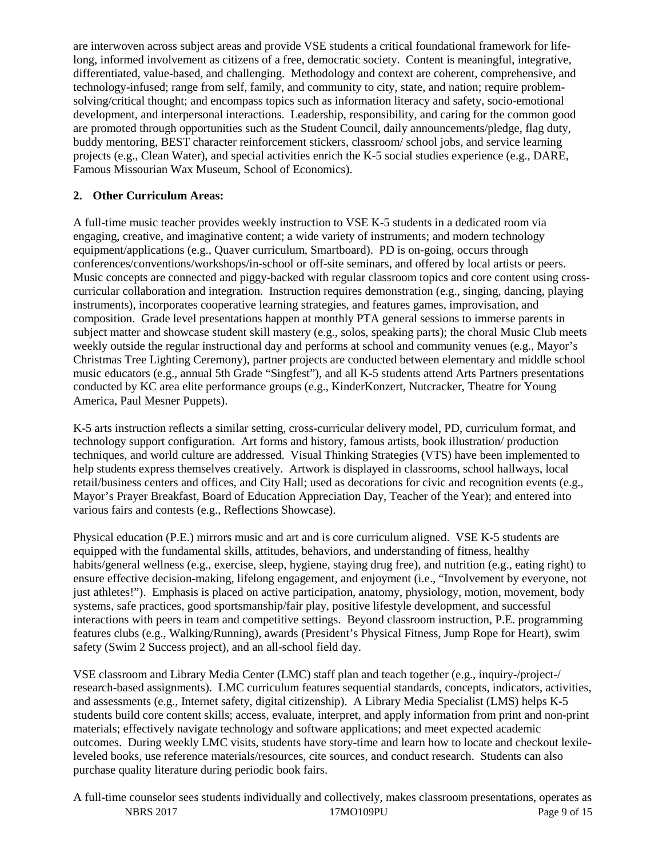are interwoven across subject areas and provide VSE students a critical foundational framework for lifelong, informed involvement as citizens of a free, democratic society. Content is meaningful, integrative, differentiated, value-based, and challenging. Methodology and context are coherent, comprehensive, and technology-infused; range from self, family, and community to city, state, and nation; require problemsolving/critical thought; and encompass topics such as information literacy and safety, socio-emotional development, and interpersonal interactions. Leadership, responsibility, and caring for the common good are promoted through opportunities such as the Student Council, daily announcements/pledge, flag duty, buddy mentoring, BEST character reinforcement stickers, classroom/ school jobs, and service learning projects (e.g., Clean Water), and special activities enrich the K-5 social studies experience (e.g., DARE, Famous Missourian Wax Museum, School of Economics).

# **2. Other Curriculum Areas:**

A full-time music teacher provides weekly instruction to VSE K-5 students in a dedicated room via engaging, creative, and imaginative content; a wide variety of instruments; and modern technology equipment/applications (e.g., Quaver curriculum, Smartboard). PD is on-going, occurs through conferences/conventions/workshops/in-school or off-site seminars, and offered by local artists or peers. Music concepts are connected and piggy-backed with regular classroom topics and core content using crosscurricular collaboration and integration. Instruction requires demonstration (e.g., singing, dancing, playing instruments), incorporates cooperative learning strategies, and features games, improvisation, and composition. Grade level presentations happen at monthly PTA general sessions to immerse parents in subject matter and showcase student skill mastery (e.g., solos, speaking parts); the choral Music Club meets weekly outside the regular instructional day and performs at school and community venues (e.g., Mayor's Christmas Tree Lighting Ceremony), partner projects are conducted between elementary and middle school music educators (e.g., annual 5th Grade "Singfest"), and all K-5 students attend Arts Partners presentations conducted by KC area elite performance groups (e.g., KinderKonzert, Nutcracker, Theatre for Young America, Paul Mesner Puppets).

K-5 arts instruction reflects a similar setting, cross-curricular delivery model, PD, curriculum format, and technology support configuration. Art forms and history, famous artists, book illustration/ production techniques, and world culture are addressed. Visual Thinking Strategies (VTS) have been implemented to help students express themselves creatively. Artwork is displayed in classrooms, school hallways, local retail/business centers and offices, and City Hall; used as decorations for civic and recognition events (e.g., Mayor's Prayer Breakfast, Board of Education Appreciation Day, Teacher of the Year); and entered into various fairs and contests (e.g., Reflections Showcase).

Physical education (P.E.) mirrors music and art and is core curriculum aligned. VSE K-5 students are equipped with the fundamental skills, attitudes, behaviors, and understanding of fitness, healthy habits/general wellness (e.g., exercise, sleep, hygiene, staying drug free), and nutrition (e.g., eating right) to ensure effective decision-making, lifelong engagement, and enjoyment (i.e., "Involvement by everyone, not just athletes!"). Emphasis is placed on active participation, anatomy, physiology, motion, movement, body systems, safe practices, good sportsmanship/fair play, positive lifestyle development, and successful interactions with peers in team and competitive settings. Beyond classroom instruction, P.E. programming features clubs (e.g., Walking/Running), awards (President's Physical Fitness, Jump Rope for Heart), swim safety (Swim 2 Success project), and an all-school field day.

VSE classroom and Library Media Center (LMC) staff plan and teach together (e.g., inquiry-/project-/ research-based assignments). LMC curriculum features sequential standards, concepts, indicators, activities, and assessments (e.g., Internet safety, digital citizenship). A Library Media Specialist (LMS) helps K-5 students build core content skills; access, evaluate, interpret, and apply information from print and non-print materials; effectively navigate technology and software applications; and meet expected academic outcomes. During weekly LMC visits, students have story-time and learn how to locate and checkout lexileleveled books, use reference materials/resources, cite sources, and conduct research. Students can also purchase quality literature during periodic book fairs.

NBRS 2017 **17MO109PU** Page 9 of 15 A full-time counselor sees students individually and collectively, makes classroom presentations, operates as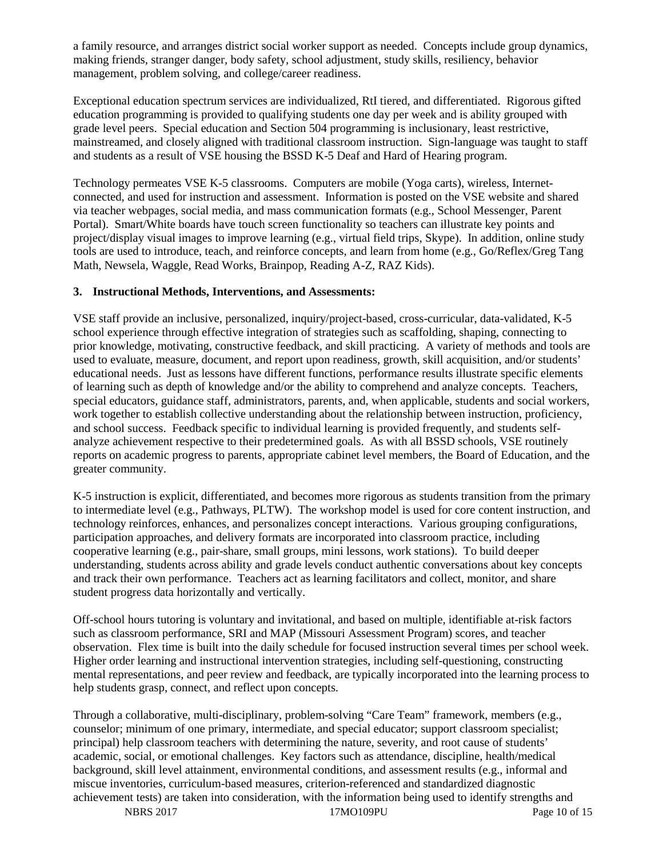a family resource, and arranges district social worker support as needed. Concepts include group dynamics, making friends, stranger danger, body safety, school adjustment, study skills, resiliency, behavior management, problem solving, and college/career readiness.

Exceptional education spectrum services are individualized, RtI tiered, and differentiated. Rigorous gifted education programming is provided to qualifying students one day per week and is ability grouped with grade level peers. Special education and Section 504 programming is inclusionary, least restrictive, mainstreamed, and closely aligned with traditional classroom instruction. Sign-language was taught to staff and students as a result of VSE housing the BSSD K-5 Deaf and Hard of Hearing program.

Technology permeates VSE K-5 classrooms. Computers are mobile (Yoga carts), wireless, Internetconnected, and used for instruction and assessment. Information is posted on the VSE website and shared via teacher webpages, social media, and mass communication formats (e.g., School Messenger, Parent Portal). Smart/White boards have touch screen functionality so teachers can illustrate key points and project/display visual images to improve learning (e.g., virtual field trips, Skype). In addition, online study tools are used to introduce, teach, and reinforce concepts, and learn from home (e.g., Go/Reflex/Greg Tang Math, Newsela, Waggle, Read Works, Brainpop, Reading A-Z, RAZ Kids).

#### **3. Instructional Methods, Interventions, and Assessments:**

VSE staff provide an inclusive, personalized, inquiry/project-based, cross-curricular, data-validated, K-5 school experience through effective integration of strategies such as scaffolding, shaping, connecting to prior knowledge, motivating, constructive feedback, and skill practicing. A variety of methods and tools are used to evaluate, measure, document, and report upon readiness, growth, skill acquisition, and/or students' educational needs. Just as lessons have different functions, performance results illustrate specific elements of learning such as depth of knowledge and/or the ability to comprehend and analyze concepts. Teachers, special educators, guidance staff, administrators, parents, and, when applicable, students and social workers, work together to establish collective understanding about the relationship between instruction, proficiency, and school success. Feedback specific to individual learning is provided frequently, and students selfanalyze achievement respective to their predetermined goals. As with all BSSD schools, VSE routinely reports on academic progress to parents, appropriate cabinet level members, the Board of Education, and the greater community.

K-5 instruction is explicit, differentiated, and becomes more rigorous as students transition from the primary to intermediate level (e.g., Pathways, PLTW). The workshop model is used for core content instruction, and technology reinforces, enhances, and personalizes concept interactions. Various grouping configurations, participation approaches, and delivery formats are incorporated into classroom practice, including cooperative learning (e.g., pair-share, small groups, mini lessons, work stations). To build deeper understanding, students across ability and grade levels conduct authentic conversations about key concepts and track their own performance. Teachers act as learning facilitators and collect, monitor, and share student progress data horizontally and vertically.

Off-school hours tutoring is voluntary and invitational, and based on multiple, identifiable at-risk factors such as classroom performance, SRI and MAP (Missouri Assessment Program) scores, and teacher observation. Flex time is built into the daily schedule for focused instruction several times per school week. Higher order learning and instructional intervention strategies, including self-questioning, constructing mental representations, and peer review and feedback, are typically incorporated into the learning process to help students grasp, connect, and reflect upon concepts.

Through a collaborative, multi-disciplinary, problem-solving "Care Team" framework, members (e.g., counselor; minimum of one primary, intermediate, and special educator; support classroom specialist; principal) help classroom teachers with determining the nature, severity, and root cause of students' academic, social, or emotional challenges. Key factors such as attendance, discipline, health/medical background, skill level attainment, environmental conditions, and assessment results (e.g., informal and miscue inventories, curriculum-based measures, criterion-referenced and standardized diagnostic achievement tests) are taken into consideration, with the information being used to identify strengths and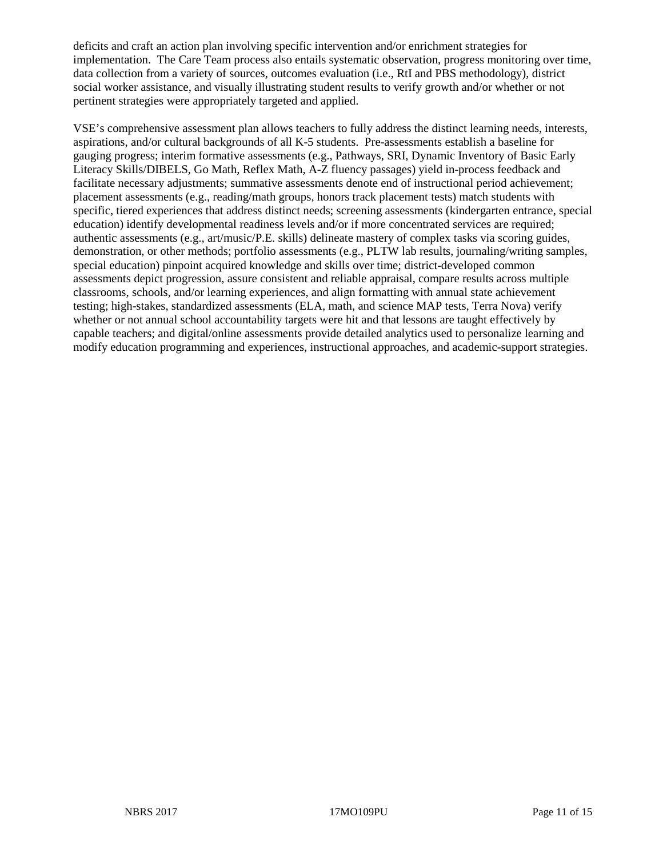deficits and craft an action plan involving specific intervention and/or enrichment strategies for implementation. The Care Team process also entails systematic observation, progress monitoring over time, data collection from a variety of sources, outcomes evaluation (i.e., RtI and PBS methodology), district social worker assistance, and visually illustrating student results to verify growth and/or whether or not pertinent strategies were appropriately targeted and applied.

VSE's comprehensive assessment plan allows teachers to fully address the distinct learning needs, interests, aspirations, and/or cultural backgrounds of all K-5 students. Pre-assessments establish a baseline for gauging progress; interim formative assessments (e.g., Pathways, SRI, Dynamic Inventory of Basic Early Literacy Skills/DIBELS, Go Math, Reflex Math, A-Z fluency passages) yield in-process feedback and facilitate necessary adjustments; summative assessments denote end of instructional period achievement; placement assessments (e.g., reading/math groups, honors track placement tests) match students with specific, tiered experiences that address distinct needs; screening assessments (kindergarten entrance, special education) identify developmental readiness levels and/or if more concentrated services are required; authentic assessments (e.g., art/music/P.E. skills) delineate mastery of complex tasks via scoring guides, demonstration, or other methods; portfolio assessments (e.g., PLTW lab results, journaling/writing samples, special education) pinpoint acquired knowledge and skills over time; district-developed common assessments depict progression, assure consistent and reliable appraisal, compare results across multiple classrooms, schools, and/or learning experiences, and align formatting with annual state achievement testing; high-stakes, standardized assessments (ELA, math, and science MAP tests, Terra Nova) verify whether or not annual school accountability targets were hit and that lessons are taught effectively by capable teachers; and digital/online assessments provide detailed analytics used to personalize learning and modify education programming and experiences, instructional approaches, and academic-support strategies.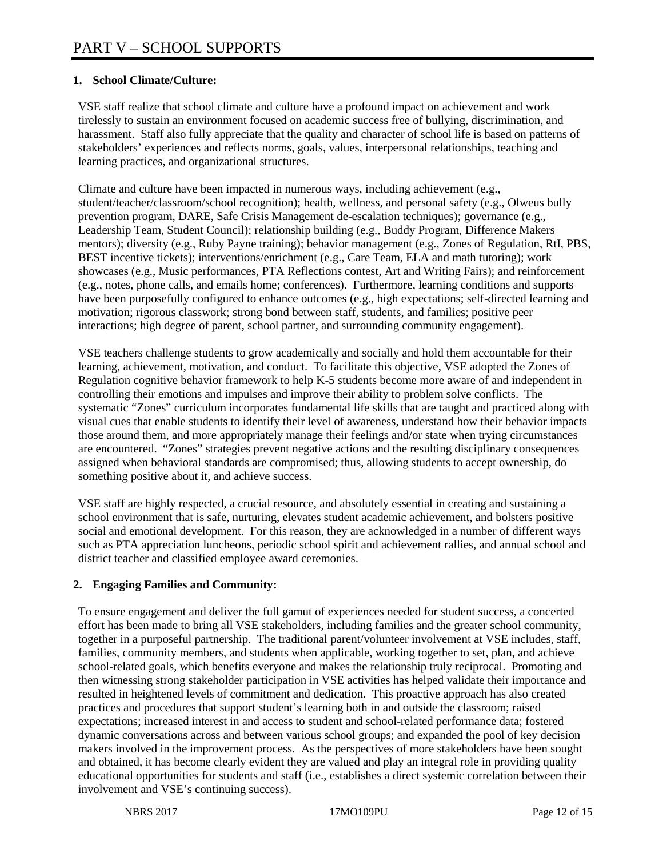## **1. School Climate/Culture:**

VSE staff realize that school climate and culture have a profound impact on achievement and work tirelessly to sustain an environment focused on academic success free of bullying, discrimination, and harassment. Staff also fully appreciate that the quality and character of school life is based on patterns of stakeholders' experiences and reflects norms, goals, values, interpersonal relationships, teaching and learning practices, and organizational structures.

Climate and culture have been impacted in numerous ways, including achievement (e.g., student/teacher/classroom/school recognition); health, wellness, and personal safety (e.g., Olweus bully prevention program, DARE, Safe Crisis Management de-escalation techniques); governance (e.g., Leadership Team, Student Council); relationship building (e.g., Buddy Program, Difference Makers mentors); diversity (e.g., Ruby Payne training); behavior management (e.g., Zones of Regulation, RtI, PBS, BEST incentive tickets); interventions/enrichment (e.g., Care Team, ELA and math tutoring); work showcases (e.g., Music performances, PTA Reflections contest, Art and Writing Fairs); and reinforcement (e.g., notes, phone calls, and emails home; conferences). Furthermore, learning conditions and supports have been purposefully configured to enhance outcomes (e.g., high expectations; self-directed learning and motivation; rigorous classwork; strong bond between staff, students, and families; positive peer interactions; high degree of parent, school partner, and surrounding community engagement).

VSE teachers challenge students to grow academically and socially and hold them accountable for their learning, achievement, motivation, and conduct. To facilitate this objective, VSE adopted the Zones of Regulation cognitive behavior framework to help K-5 students become more aware of and independent in controlling their emotions and impulses and improve their ability to problem solve conflicts. The systematic "Zones" curriculum incorporates fundamental life skills that are taught and practiced along with visual cues that enable students to identify their level of awareness, understand how their behavior impacts those around them, and more appropriately manage their feelings and/or state when trying circumstances are encountered. "Zones" strategies prevent negative actions and the resulting disciplinary consequences assigned when behavioral standards are compromised; thus, allowing students to accept ownership, do something positive about it, and achieve success.

VSE staff are highly respected, a crucial resource, and absolutely essential in creating and sustaining a school environment that is safe, nurturing, elevates student academic achievement, and bolsters positive social and emotional development. For this reason, they are acknowledged in a number of different ways such as PTA appreciation luncheons, periodic school spirit and achievement rallies, and annual school and district teacher and classified employee award ceremonies.

### **2. Engaging Families and Community:**

To ensure engagement and deliver the full gamut of experiences needed for student success, a concerted effort has been made to bring all VSE stakeholders, including families and the greater school community, together in a purposeful partnership. The traditional parent/volunteer involvement at VSE includes, staff, families, community members, and students when applicable, working together to set, plan, and achieve school-related goals, which benefits everyone and makes the relationship truly reciprocal. Promoting and then witnessing strong stakeholder participation in VSE activities has helped validate their importance and resulted in heightened levels of commitment and dedication. This proactive approach has also created practices and procedures that support student's learning both in and outside the classroom; raised expectations; increased interest in and access to student and school-related performance data; fostered dynamic conversations across and between various school groups; and expanded the pool of key decision makers involved in the improvement process. As the perspectives of more stakeholders have been sought and obtained, it has become clearly evident they are valued and play an integral role in providing quality educational opportunities for students and staff (i.e., establishes a direct systemic correlation between their involvement and VSE's continuing success).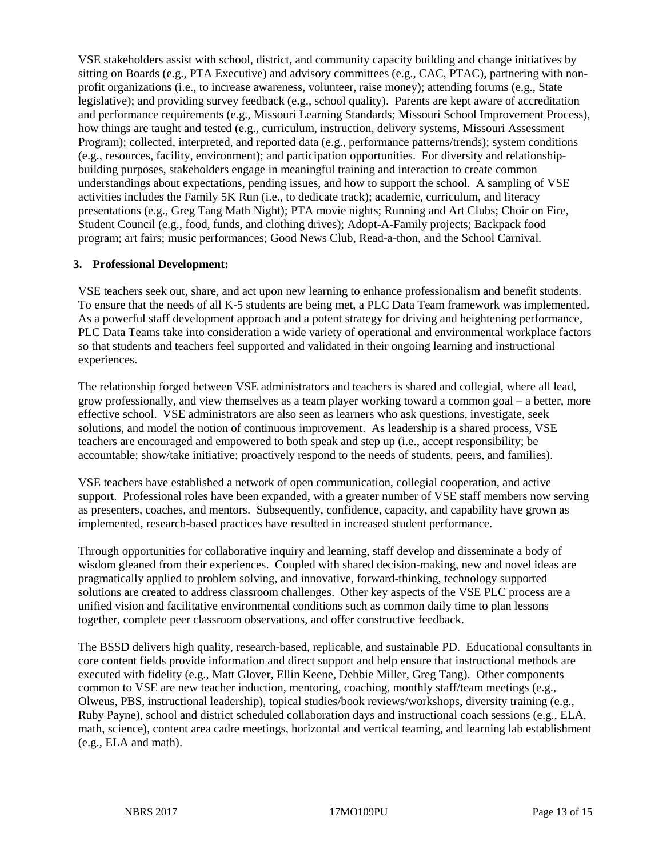VSE stakeholders assist with school, district, and community capacity building and change initiatives by sitting on Boards (e.g., PTA Executive) and advisory committees (e.g., CAC, PTAC), partnering with nonprofit organizations (i.e., to increase awareness, volunteer, raise money); attending forums (e.g., State legislative); and providing survey feedback (e.g., school quality). Parents are kept aware of accreditation and performance requirements (e.g., Missouri Learning Standards; Missouri School Improvement Process), how things are taught and tested (e.g., curriculum, instruction, delivery systems, Missouri Assessment Program); collected, interpreted, and reported data (e.g., performance patterns/trends); system conditions (e.g., resources, facility, environment); and participation opportunities. For diversity and relationshipbuilding purposes, stakeholders engage in meaningful training and interaction to create common understandings about expectations, pending issues, and how to support the school. A sampling of VSE activities includes the Family 5K Run (i.e., to dedicate track); academic, curriculum, and literacy presentations (e.g., Greg Tang Math Night); PTA movie nights; Running and Art Clubs; Choir on Fire, Student Council (e.g., food, funds, and clothing drives); Adopt-A-Family projects; Backpack food program; art fairs; music performances; Good News Club, Read-a-thon, and the School Carnival.

#### **3. Professional Development:**

VSE teachers seek out, share, and act upon new learning to enhance professionalism and benefit students. To ensure that the needs of all K-5 students are being met, a PLC Data Team framework was implemented. As a powerful staff development approach and a potent strategy for driving and heightening performance, PLC Data Teams take into consideration a wide variety of operational and environmental workplace factors so that students and teachers feel supported and validated in their ongoing learning and instructional experiences.

The relationship forged between VSE administrators and teachers is shared and collegial, where all lead, grow professionally, and view themselves as a team player working toward a common goal – a better, more effective school. VSE administrators are also seen as learners who ask questions, investigate, seek solutions, and model the notion of continuous improvement. As leadership is a shared process, VSE teachers are encouraged and empowered to both speak and step up (i.e., accept responsibility; be accountable; show/take initiative; proactively respond to the needs of students, peers, and families).

VSE teachers have established a network of open communication, collegial cooperation, and active support. Professional roles have been expanded, with a greater number of VSE staff members now serving as presenters, coaches, and mentors. Subsequently, confidence, capacity, and capability have grown as implemented, research-based practices have resulted in increased student performance.

Through opportunities for collaborative inquiry and learning, staff develop and disseminate a body of wisdom gleaned from their experiences. Coupled with shared decision-making, new and novel ideas are pragmatically applied to problem solving, and innovative, forward-thinking, technology supported solutions are created to address classroom challenges. Other key aspects of the VSE PLC process are a unified vision and facilitative environmental conditions such as common daily time to plan lessons together, complete peer classroom observations, and offer constructive feedback.

The BSSD delivers high quality, research-based, replicable, and sustainable PD. Educational consultants in core content fields provide information and direct support and help ensure that instructional methods are executed with fidelity (e.g., Matt Glover, Ellin Keene, Debbie Miller, Greg Tang). Other components common to VSE are new teacher induction, mentoring, coaching, monthly staff/team meetings (e.g., Olweus, PBS, instructional leadership), topical studies/book reviews/workshops, diversity training (e.g., Ruby Payne), school and district scheduled collaboration days and instructional coach sessions (e.g., ELA, math, science), content area cadre meetings, horizontal and vertical teaming, and learning lab establishment (e.g., ELA and math).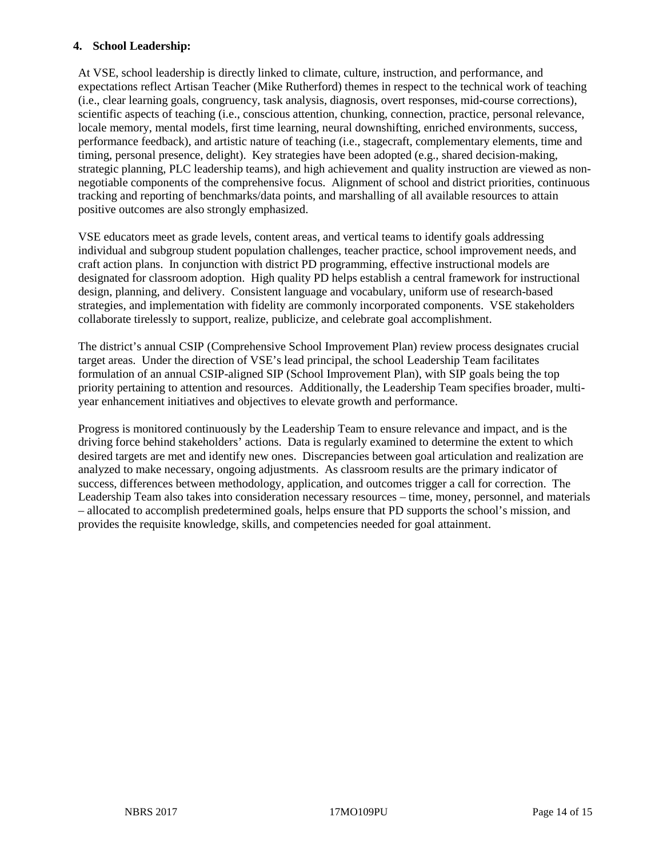#### **4. School Leadership:**

At VSE, school leadership is directly linked to climate, culture, instruction, and performance, and expectations reflect Artisan Teacher (Mike Rutherford) themes in respect to the technical work of teaching (i.e., clear learning goals, congruency, task analysis, diagnosis, overt responses, mid-course corrections), scientific aspects of teaching (i.e., conscious attention, chunking, connection, practice, personal relevance, locale memory, mental models, first time learning, neural downshifting, enriched environments, success, performance feedback), and artistic nature of teaching (i.e., stagecraft, complementary elements, time and timing, personal presence, delight). Key strategies have been adopted (e.g., shared decision-making, strategic planning, PLC leadership teams), and high achievement and quality instruction are viewed as nonnegotiable components of the comprehensive focus. Alignment of school and district priorities, continuous tracking and reporting of benchmarks/data points, and marshalling of all available resources to attain positive outcomes are also strongly emphasized.

VSE educators meet as grade levels, content areas, and vertical teams to identify goals addressing individual and subgroup student population challenges, teacher practice, school improvement needs, and craft action plans. In conjunction with district PD programming, effective instructional models are designated for classroom adoption. High quality PD helps establish a central framework for instructional design, planning, and delivery. Consistent language and vocabulary, uniform use of research-based strategies, and implementation with fidelity are commonly incorporated components. VSE stakeholders collaborate tirelessly to support, realize, publicize, and celebrate goal accomplishment.

The district's annual CSIP (Comprehensive School Improvement Plan) review process designates crucial target areas. Under the direction of VSE's lead principal, the school Leadership Team facilitates formulation of an annual CSIP-aligned SIP (School Improvement Plan), with SIP goals being the top priority pertaining to attention and resources. Additionally, the Leadership Team specifies broader, multiyear enhancement initiatives and objectives to elevate growth and performance.

Progress is monitored continuously by the Leadership Team to ensure relevance and impact, and is the driving force behind stakeholders' actions. Data is regularly examined to determine the extent to which desired targets are met and identify new ones. Discrepancies between goal articulation and realization are analyzed to make necessary, ongoing adjustments. As classroom results are the primary indicator of success, differences between methodology, application, and outcomes trigger a call for correction. The Leadership Team also takes into consideration necessary resources – time, money, personnel, and materials – allocated to accomplish predetermined goals, helps ensure that PD supports the school's mission, and provides the requisite knowledge, skills, and competencies needed for goal attainment.